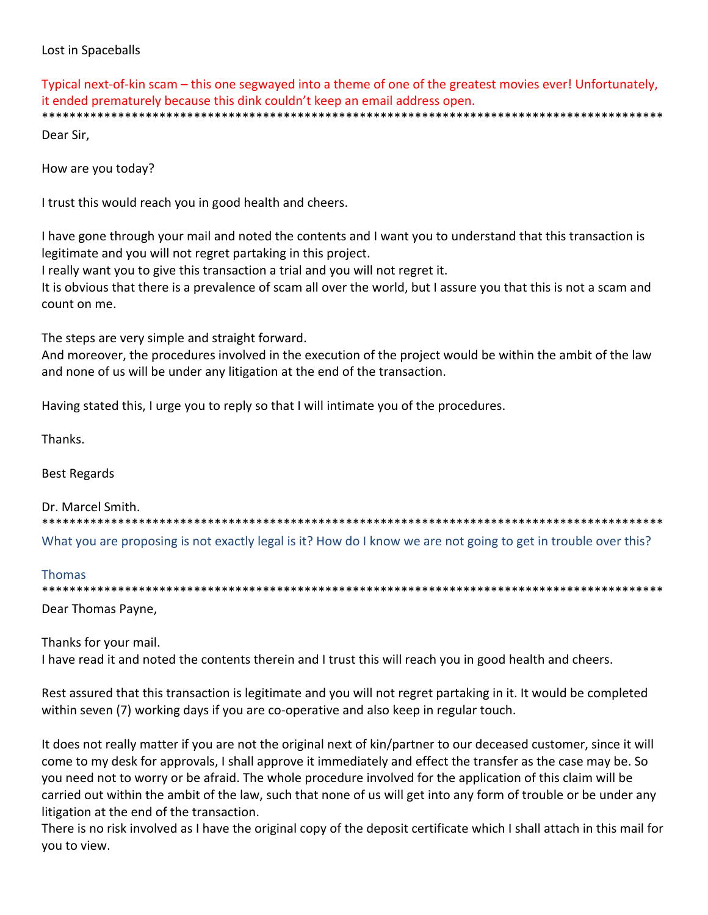## Lost in Spaceballs

Typical next-of-kin scam – this one segwayed into a theme of one of the greatest movies ever! Unfortunately, it ended prematurely because this dink couldn't keep an email address open. \*\*\*\*\*\*\*\*\*\*\*\*\*\*\*\*\*\*\*\*\*\*\*\*\*\*\*\*\*\*\*\*\*\*\*\*\*\*

Dear Sir.

How are you today?

I trust this would reach you in good health and cheers.

I have gone through your mail and noted the contents and I want you to understand that this transaction is legitimate and you will not regret partaking in this project.

I really want you to give this transaction a trial and you will not regret it.

It is obvious that there is a prevalence of scam all over the world, but I assure you that this is not a scam and count on me.

The steps are very simple and straight forward.

And moreover, the procedures involved in the execution of the project would be within the ambit of the law and none of us will be under any litigation at the end of the transaction.

Having stated this, I urge you to reply so that I will intimate you of the procedures.

Thanks.

**Best Regards** 

Dr. Marcel Smith.

What you are proposing is not exactly legal is it? How do I know we are not going to get in trouble over this?

#### **Thomas**

Dear Thomas Payne,

Thanks for your mail. I have read it and noted the contents therein and I trust this will reach you in good health and cheers.

Rest assured that this transaction is legitimate and you will not regret partaking in it. It would be completed within seven (7) working days if you are co-operative and also keep in regular touch.

It does not really matter if you are not the original next of kin/partner to our deceased customer, since it will come to my desk for approvals, I shall approve it immediately and effect the transfer as the case may be. So you need not to worry or be afraid. The whole procedure involved for the application of this claim will be carried out within the ambit of the law, such that none of us will get into any form of trouble or be under any litigation at the end of the transaction.

There is no risk involved as I have the original copy of the deposit certificate which I shall attach in this mail for you to view.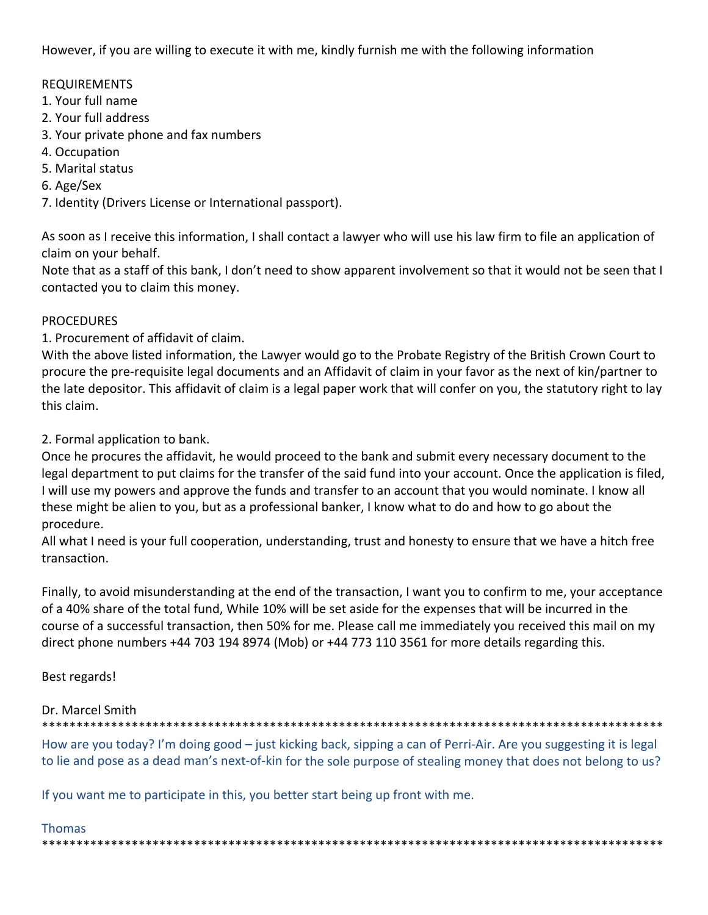However, if you are willing to execute it with me, kindly furnish me with the following information

## REQUIREMENTS

- 1. Your full name
- 2. Your full address
- 3. Your private phone and fax numbers
- 4. Occupation
- 5. Marital status
- 6. Age/Sex

7. Identity (Drivers License or International passport).

As soon as I receive this information, I shall contact a lawyer who will use his law firm to file an application of claim on your behalf.

Note that as a staff of this bank, I don't need to show apparent involvement so that it would not be seen that I contacted you to claim this money.

## PROCEDURES

1. Procurement of affidavit of claim.

With the above listed information, the Lawyer would go to the Probate Registry of the British Crown Court to procure the pre‐requisite legal documents and an Affidavit of claim in your favor as the next of kin/partner to the late depositor. This affidavit of claim is a legal paper work that will confer on you, the statutory right to lay this claim.

2. Formal application to bank.

Once he procures the affidavit, he would proceed to the bank and submit every necessary document to the legal department to put claims for the transfer of the said fund into your account. Once the application is filed, I will use my powers and approve the funds and transfer to an account that you would nominate. I know all these might be alien to you, but as a professional banker, I know what to do and how to go about the procedure.

All what I need is your full cooperation, understanding, trust and honesty to ensure that we have a hitch free transaction.

Finally, to avoid misunderstanding at the end of the transaction, I want you to confirm to me, your acceptance of a 40% share of the total fund, While 10% will be set aside for the expenses that will be incurred in the course of a successful transaction, then 50% for me. Please call me immediately you received this mail on my direct phone numbers +44 703 194 8974 (Mob) or +44 773 110 3561 for more details regarding this.

## Best regards!

## Dr. Marcel Smith

\*\*\*\*\*\*\*\*\*\*\*\*\*\*\*\*\*\*\*\*\*\*\*\*\*\*\*\*\*\*\*\*\*\*\*\*\*\*\*\*\*\*\*\*\*\*\*\*\*\*\*\*\*\*\*\*\*\*\*\*\*\*\*\*\*\*\*\*\*\*\*\*\*\*\*\*\*\*\*\*\*\*\*\*\*\*\*\*\*\*

How are you today? I'm doing good – just kicking back, sipping a can of Perri-Air. Are you suggesting it is legal to lie and pose as a dead man's next-of-kin for the sole purpose of stealing money that does not belong to us?

If you want me to participate in this, you better start being up front with me.

## Thomas

\*\*\*\*\*\*\*\*\*\*\*\*\*\*\*\*\*\*\*\*\*\*\*\*\*\*\*\*\*\*\*\*\*\*\*\*\*\*\*\*\*\*\*\*\*\*\*\*\*\*\*\*\*\*\*\*\*\*\*\*\*\*\*\*\*\*\*\*\*\*\*\*\*\*\*\*\*\*\*\*\*\*\*\*\*\*\*\*\*\*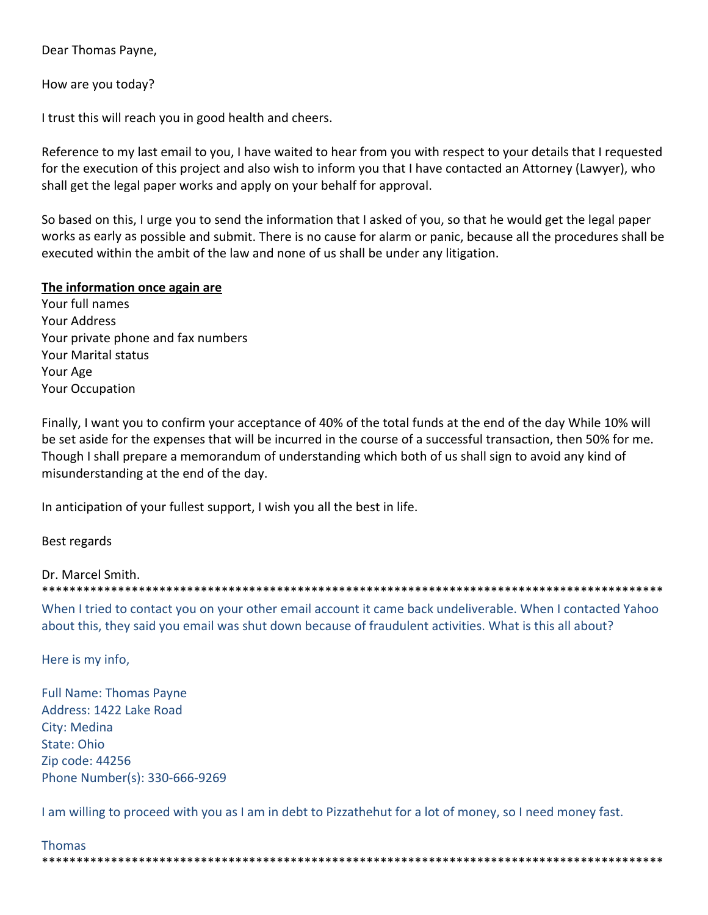Dear Thomas Payne,

How are you today?

I trust this will reach you in good health and cheers.

Reference to my last email to you, I have waited to hear from you with respect to your details that I requested for the execution of this project and also wish to inform you that I have contacted an Attorney (Lawyer), who shall get the legal paper works and apply on your behalf for approval.

So based on this, I urge you to send the information that I asked of you, so that he would get the legal paper works as early as possible and submit. There is no cause for alarm or panic, because all the procedures shall be executed within the ambit of the law and none of us shall be under any litigation.

#### **The information once again are**

Your full names Your Address Your private phone and fax numbers Your Marital status Your Age Your Occupation

Finally, I want you to confirm your acceptance of 40% of the total funds at the end of the day While 10% will be set aside for the expenses that will be incurred in the course of a successful transaction, then 50% for me. Though I shall prepare a memorandum of understanding which both of us shall sign to avoid any kind of misunderstanding at the end of the day.

In anticipation of your fullest support, I wish you all the best in life.

Best regards

Dr. Marcel Smith. \*\*\*\*\*\*\*\*\*\*\*\*\*\*\*\*\*\*\*\*\*\*\*\*\*\*\*\*\*\*\*\*\*\*\*\*\*\*\*\*\*\*\*\*\*\*\*\*\*\*\*\*\*\*\*\*\*\*\*\*\*\*\*\*\*\*\*\*\*\*\*\*\*\*\*\*\*\*\*\*\*\*\*\*\*\*\*\*\*\*

When I tried to contact you on your other email account it came back undeliverable. When I contacted Yahoo about this, they said you email was shut down because of fraudulent activities. What is this all about?

Here is my info,

Full Name: Thomas Payne Address: 1422 Lake Road City: Medina State: Ohio Zip code: 44256 Phone Number(s): 330‐666‐9269

I am willing to proceed with you as I am in debt to Pizzathehut for a lot of money, so I need money fast.

\*\*\*\*\*\*\*\*\*\*\*\*\*\*\*\*\*\*\*\*\*\*\*\*\*\*\*\*\*\*\*\*\*\*\*\*\*\*\*\*\*\*\*\*\*\*\*\*\*\*\*\*\*\*\*\*\*\*\*\*\*\*\*\*\*\*\*\*\*\*\*\*\*\*\*\*\*\*\*\*\*\*\*\*\*\*\*\*\*\*

Thomas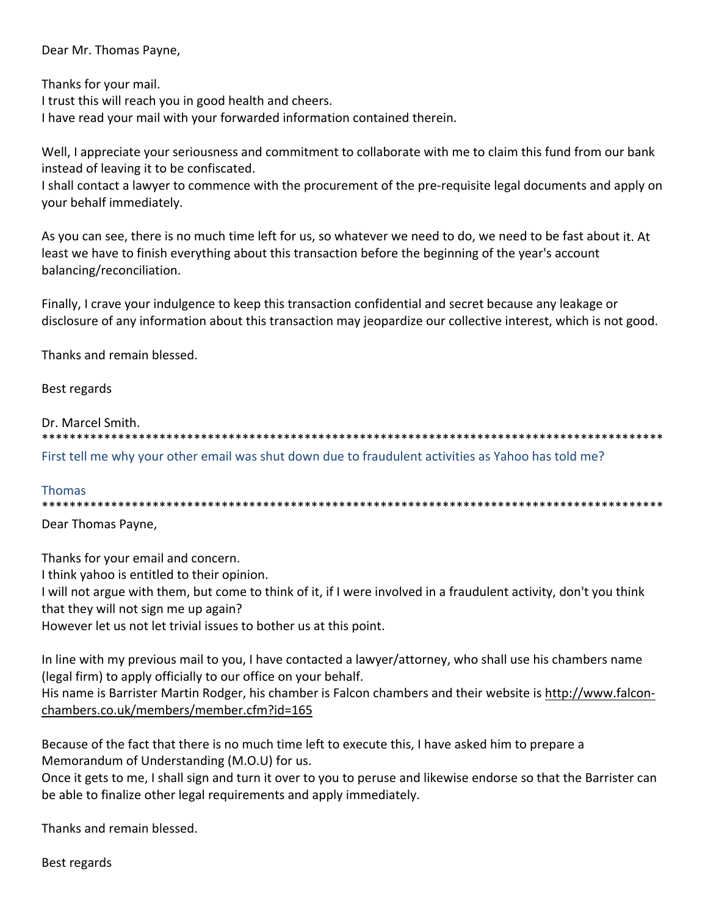Dear Mr. Thomas Payne,

Thanks for your mail.

I trust this will reach you in good health and cheers.

I have read your mail with your forwarded information contained therein.

Well, I appreciate your seriousness and commitment to collaborate with me to claim this fund from our bank instead of leaving it to be confiscated.

I shall contact a lawyer to commence with the procurement of the pre‐requisite legal documents and apply on your behalf immediately.

As you can see, there is no much time left for us, so whatever we need to do, we need to be fast about it. At least we have to finish everything about this transaction before the beginning of the year's account balancing/reconciliation.

Finally, I crave your indulgence to keep this transaction confidential and secret because any leakage or disclosure of any information about this transaction may jeopardize our collective interest, which is not good.

Thanks and remain blessed.

Best regards

Dr. Marcel Smith.

\*\*\*\*\*\*\*\*\*\*\*\*\*\*\*\*\*\*\*\*\*\*\*\*\*\*\*\*\*\*\*\*\*\*\*\*\*\*\*\*\*\*\*\*\*\*\*\*\*\*\*\*\*\*\*\*\*\*\*\*\*\*\*\*\*\*\*\*\*\*\*\*\*\*\*\*\*\*\*\*\*\*\*\*\*\*\*\*\*\* First tell me why your other email was shut down due to fraudulent activities as Yahoo has told me?

## Thomas

\*\*\*\*\*\*\*\*\*\*\*\*\*\*\*\*\*\*\*\*\*\*\*\*\*\*\*\*\*\*\*\*\*\*\*\*\*\*\*\*\*\*\*\*\*\*\*\*\*\*\*\*\*\*\*\*\*\*\*\*\*\*\*\*\*\*\*\*\*\*\*\*\*\*\*\*\*\*\*\*\*\*\*\*\*\*\*\*\*\*

Dear Thomas Payne,

Thanks for your email and concern.

I think yahoo is entitled to their opinion.

I will not argue with them, but come to think of it, if I were involved in a fraudulent activity, don't you think that they will not sign me up again?

However let us not let trivial issues to bother us at this point.

In line with my previous mail to you, I have contacted a lawyer/attorney, who shall use his chambers name (legal firm) to apply officially to our office on your behalf.

His name is Barrister Martin Rodger, his chamber is Falcon chambers and their website is http://www.falcon‐ chambers.co.uk/members/member.cfm?id=165

Because of the fact that there is no much time left to execute this, I have asked him to prepare a Memorandum of Understanding (M.O.U) for us.

Once it gets to me, I shall sign and turn it over to you to peruse and likewise endorse so that the Barrister can be able to finalize other legal requirements and apply immediately.

Thanks and remain blessed.

Best regards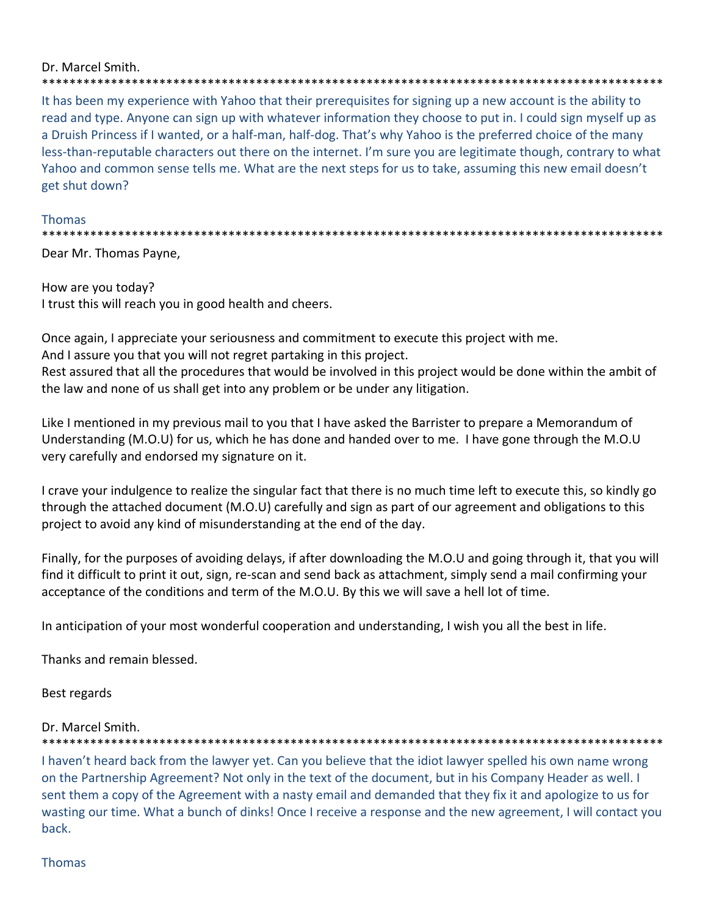#### Dr. Marcel Smith. \*\*\*\*\*\*\*\*\*\*\*\*\*

It has been my experience with Yahoo that their prerequisites for signing up a new account is the ability to read and type. Anyone can sign up with whatever information they choose to put in. I could sign myself up as a Druish Princess if I wanted, or a half-man, half-dog. That's why Yahoo is the preferred choice of the many less-than-reputable characters out there on the internet. I'm sure you are legitimate though, contrary to what Yahoo and common sense tells me. What are the next steps for us to take, assuming this new email doesn't get shut down?

\*\*\*\*\*\*\*\*\*\*\*\*\*\*\*

## **Thomas**

Dear Mr. Thomas Payne,

How are you today? I trust this will reach you in good health and cheers.

Once again, I appreciate your seriousness and commitment to execute this project with me.

And I assure you that you will not regret partaking in this project.

Rest assured that all the procedures that would be involved in this project would be done within the ambit of the law and none of us shall get into any problem or be under any litigation.

Like I mentioned in my previous mail to you that I have asked the Barrister to prepare a Memorandum of Understanding (M.O.U) for us, which he has done and handed over to me. I have gone through the M.O.U very carefully and endorsed my signature on it.

I crave your indulgence to realize the singular fact that there is no much time left to execute this, so kindly go through the attached document (M.O.U) carefully and sign as part of our agreement and obligations to this project to avoid any kind of misunderstanding at the end of the day.

Finally, for the purposes of avoiding delays, if after downloading the M.O.U and going through it, that you will find it difficult to print it out, sign, re-scan and send back as attachment, simply send a mail confirming your acceptance of the conditions and term of the M.O.U. By this we will save a hell lot of time.

In anticipation of your most wonderful cooperation and understanding, I wish you all the best in life.

Thanks and remain blessed.

Best regards

## Dr. Marcel Smith.

I haven't heard back from the lawyer yet. Can you believe that the idiot lawyer spelled his own name wrong on the Partnership Agreement? Not only in the text of the document, but in his Company Header as well. I sent them a copy of the Agreement with a nasty email and demanded that they fix it and apologize to us for wasting our time. What a bunch of dinks! Once I receive a response and the new agreement, I will contact you back.

## **Thomas**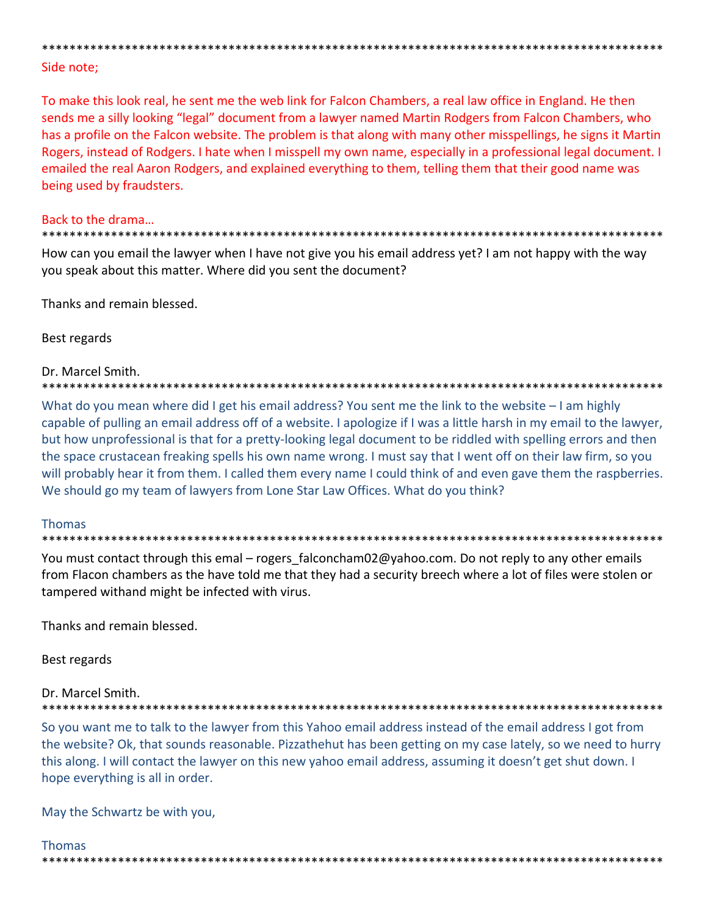# Side note:

To make this look real, he sent me the web link for Falcon Chambers, a real law office in England. He then sends me a silly looking "legal" document from a lawyer named Martin Rodgers from Falcon Chambers, who has a profile on the Falcon website. The problem is that along with many other misspellings, he signs it Martin Rogers, instead of Rodgers. I hate when I misspell my own name, especially in a professional legal document. I emailed the real Aaron Rodgers, and explained everything to them, telling them that their good name was being used by fraudsters.

#### Back to the drama...

How can you email the lawyer when I have not give you his email address yet? I am not happy with the way you speak about this matter. Where did you sent the document?

Thanks and remain blessed.

Best regards

#### Dr. Marcel Smith.

\*\*\*\*\*\*\*\*\*\*\*\*\*\*\*\*\*\*\*\* 

What do you mean where did I get his email address? You sent me the link to the website - I am highly capable of pulling an email address off of a website. I apologize if I was a little harsh in my email to the lawyer, but how unprofessional is that for a pretty-looking legal document to be riddled with spelling errors and then the space crustacean freaking spells his own name wrong. I must say that I went off on their law firm, so you will probably hear it from them. I called them every name I could think of and even gave them the raspberries. We should go my team of lawyers from Lone Star Law Offices. What do you think?

## **Thomas**

#### \*\*\*\*\*\*\*\*\*\*\*\*\*\*\*\*\*\*\*\*\*\*\*\*\*\*\*\*\*\*\*

You must contact through this emal – rogers falconcham02@yahoo.com. Do not reply to any other emails from Flacon chambers as the have told me that they had a security breech where a lot of files were stolen or tampered withand might be infected with virus.

Thanks and remain blessed.

Best regards

Dr. Marcel Smith.

So you want me to talk to the lawyer from this Yahoo email address instead of the email address I got from the website? Ok, that sounds reasonable. Pizzathehut has been getting on my case lately, so we need to hurry this along. I will contact the lawyer on this new yahoo email address, assuming it doesn't get shut down. I hope everything is all in order.

May the Schwartz be with you,

## **Thomas**